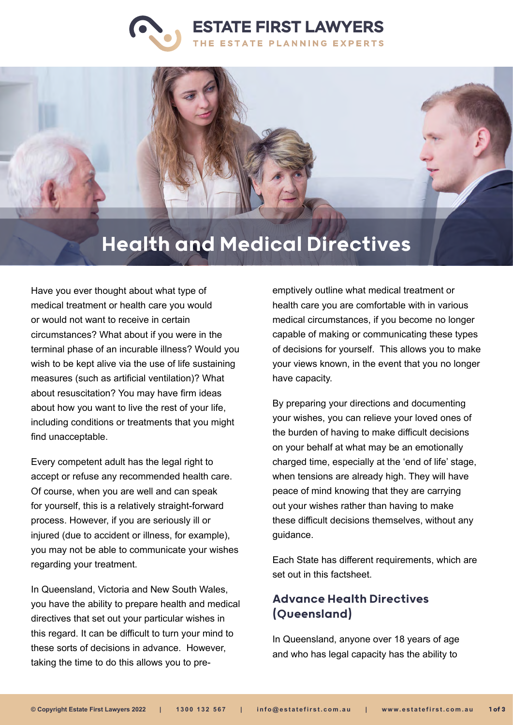



# Health and Medical Directives

Have you ever thought about what type of medical treatment or health care you would or would not want to receive in certain circumstances? What about if you were in the terminal phase of an incurable illness? Would you wish to be kept alive via the use of life sustaining measures (such as artificial ventilation)? What about resuscitation? You may have firm ideas about how you want to live the rest of your life, including conditions or treatments that you might find unacceptable.

Every competent adult has the legal right to accept or refuse any recommended health care. Of course, when you are well and can speak for yourself, this is a relatively straight-forward process. However, if you are seriously ill or injured (due to accident or illness, for example), you may not be able to communicate your wishes regarding your treatment.

In Queensland, Victoria and New South Wales, you have the ability to prepare health and medical directives that set out your particular wishes in this regard. It can be difficult to turn your mind to these sorts of decisions in advance. However, taking the time to do this allows you to preemptively outline what medical treatment or health care you are comfortable with in various medical circumstances, if you become no longer capable of making or communicating these types of decisions for yourself. This allows you to make your views known, in the event that you no longer have capacity.

By preparing your directions and documenting your wishes, you can relieve your loved ones of the burden of having to make difficult decisions on your behalf at what may be an emotionally charged time, especially at the 'end of life' stage, when tensions are already high. They will have peace of mind knowing that they are carrying out your wishes rather than having to make these difficult decisions themselves, without any guidance.

Each State has different requirements, which are set out in this factsheet.

## Advance Health Directives (Queensland)

In Queensland, anyone over 18 years of age and who has legal capacity has the ability to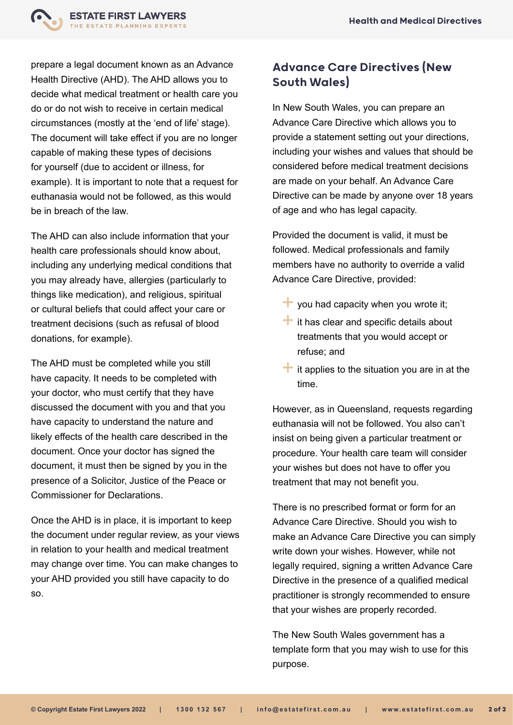

prepare a legal document known as an Advance Health Directive (AHD). The AHD allows you to decide what medical treatment or health care you do or do not wish to receive in certain medical circumstances (mostly at the 'end of life' stage). The document will take effect if you are no longer capable of making these types of decisions for yourself (due to accident or illness, for example). It is important to note that a request for euthanasia would not be followed, as this would be in breach of the law.

The AHD can also include information that your health care professionals should know about, including any underlying medical conditions that you may already have, allergies (particularly to things like medication), and religious, spiritual or cultural beliefs that could affect your care or treatment decisions (such as refusal of blood donations, for example).

The AHD must be completed while you still have capacity. It needs to be completed with your doctor, who must certify that they have discussed the document with you and that you have capacity to understand the nature and likely effects of the health care described in the document. Once your doctor has signed the document, it must then be signed by you in the presence of a Solicitor, Justice of the Peace or Commissioner for Declarations.

Once the AHD is in place, it is important to keep the document under regular review, as your views in relation to your health and medical treatment may change over time. You can make changes to your AHD provided you still have capacity to do so.

#### Advance Care Directives (New South Wales)

In New South Wales, you can prepare an Advance Care Directive which allows you to provide a statement setting out your directions, including your wishes and values that should be considered before medical treatment decisions are made on your behalf. An Advance Care Directive can be made by anyone over 18 years of age and who has legal capacity.

Provided the document is valid, it must be followed. Medical professionals and family members have no authority to override a valid Advance Care Directive, provided:

- $\blacksquare$  you had capacity when you wrote it;
- $\blacksquare$  it has clear and specific details about treatments that you would accept or refuse; and
- $\pm$  it applies to the situation you are in at the time.

However, as in Queensland, requests regarding euthanasia will not be followed. You also can't insist on being given a particular treatment or procedure. Your health care team will consider your wishes but does not have to offer you treatment that may not benefit you.

There is no prescribed format or form for an Advance Care Directive. Should you wish to make an Advance Care Directive you can simply write down your wishes. However, while not legally required, signing a written Advance Care Directive in the presence of a qualified medical practitioner is strongly recommended to ensure that your wishes are properly recorded.

The New South Wales government has a template form that you may wish to use for this purpose.